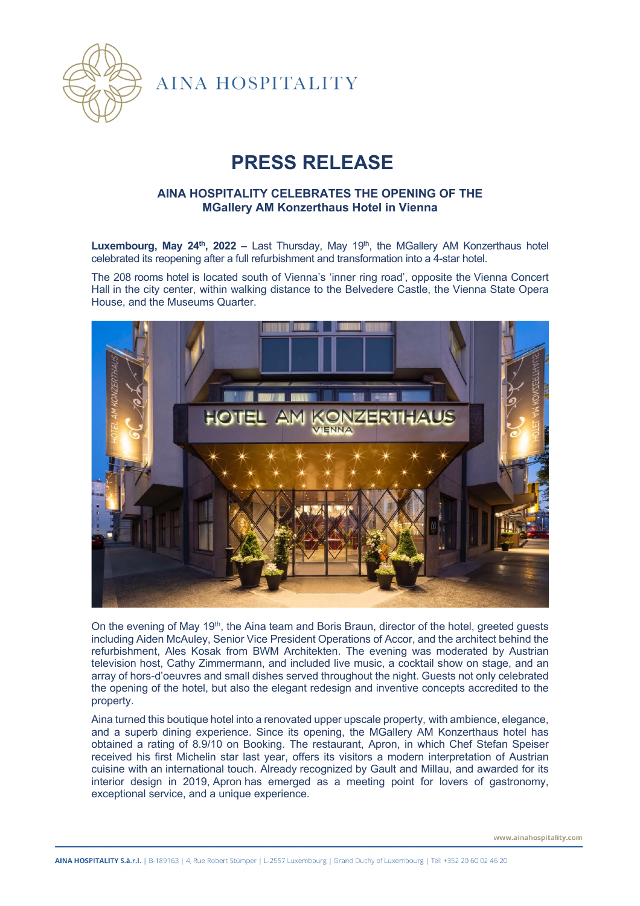

**AINA HOSPITALITY** 

## **PRESS RELEASE**

## **AINA HOSPITALITY CELEBRATES THE OPENING OF THE MGallery AM Konzerthaus Hotel in Vienna**

Luxembourg, May 24<sup>th</sup>, 2022 – Last Thursday, May 19<sup>th</sup>, the MGallery AM Konzerthaus hotel celebrated its reopening after a full refurbishment and transformation into a 4-star hotel.

The 208 rooms hotel is located south of Vienna's 'inner ring road', opposite the Vienna Concert Hall in the city center, within walking distance to the Belvedere Castle, the Vienna State Opera House, and the Museums Quarter.



On the evening of May 19<sup>th</sup>, the Aina team and Boris Braun, director of the hotel, greeted guests including Aiden McAuley, Senior Vice President Operations of Accor, and the architect behind the refurbishment, Ales Kosak from BWM Architekten. The evening was moderated by Austrian television host, Cathy Zimmermann, and included live music, a cocktail show on stage, and an array of hors-d'oeuvres and small dishes served throughout the night. Guests not only celebrated the opening of the hotel, but also the elegant redesign and inventive concepts accredited to the property.

Aina turned this boutique hotel into a renovated upper upscale property, with ambience, elegance, and a superb dining experience. Since its opening, the MGallery AM Konzerthaus hotel has obtained a rating of 8.9/10 on Booking. The restaurant, Apron, in which Chef Stefan Speiser received his first Michelin star last year, offers its visitors a modern interpretation of Austrian cuisine with an international touch. Already recognized by Gault and Millau, and awarded for its interior design in 2019, Apron has emerged as a meeting point for lovers of gastronomy, exceptional service, and a unique experience.

www.ainahospitality.com